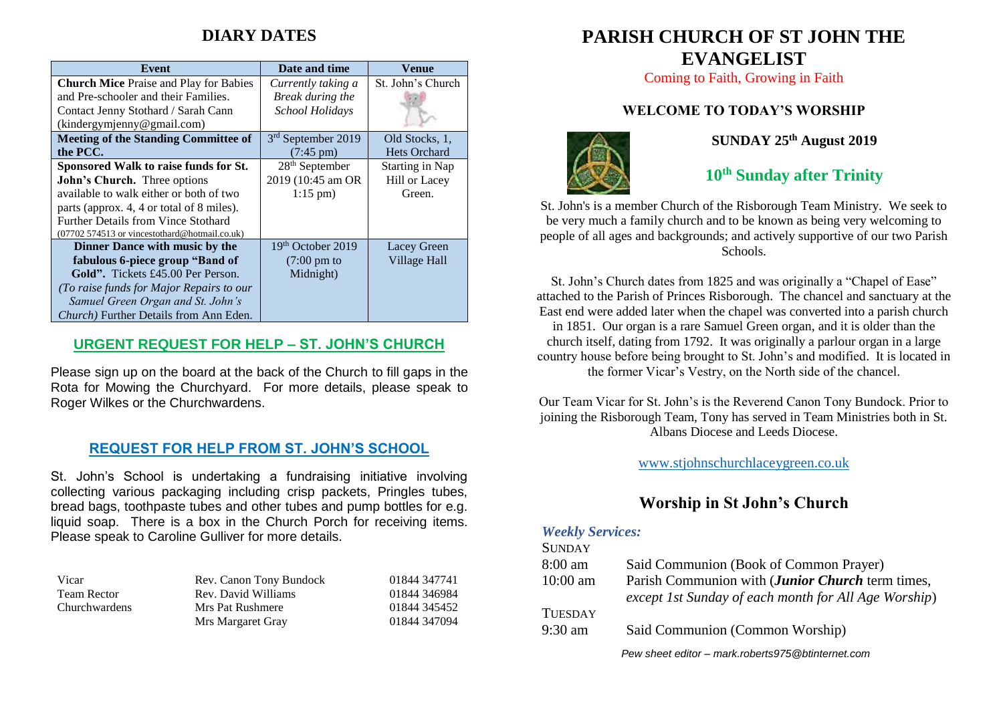# **DIARY DATES**

| Event                                          | Date and time                 | Venue                |
|------------------------------------------------|-------------------------------|----------------------|
| <b>Church Mice</b> Praise and Play for Babies  | Currently taking a            | St. John's Church    |
| and Pre-schooler and their Families.           | Break during the              |                      |
| Contact Jenny Stothard / Sarah Cann            | School Holidays               |                      |
| (kindergymjenny@gmail.com)                     |                               |                      |
| <b>Meeting of the Standing Committee of</b>    | 3rd September 2019            | Old Stocks, 1,       |
| the PCC.                                       | $(7:45 \text{ pm})$           | <b>Hets Orchard</b>  |
| Sponsored Walk to raise funds for St.          | 28 <sup>th</sup> September    | Starting in Nap      |
| John's Church. Three options                   | 2019 (10:45 am OR             | <b>Hill or Lacey</b> |
| available to walk either or both of two        | $1:15$ pm $)$                 | Green.               |
| parts (approx. 4, 4 or total of 8 miles).      |                               |                      |
| <b>Further Details from Vince Stothard</b>     |                               |                      |
| (07702 574513 or vincestothard@hotmail.co.uk)  |                               |                      |
| Dinner Dance with music by the                 | 19 <sup>th</sup> October 2019 | Lacey Green          |
| fabulous 6-piece group "Band of                | $(7:00 \text{ pm to})$        | <b>Village Hall</b>  |
| <b>Gold".</b> Tickets £45.00 Per Person.       | Midnight)                     |                      |
| (To raise funds for Major Repairs to our       |                               |                      |
| Samuel Green Organ and St. John's              |                               |                      |
| <i>Church</i> ) Further Details from Ann Eden. |                               |                      |

### **URGENT REQUEST FOR HELP – ST. JOHN'S CHURCH**

Please sign up on the board at the back of the Church to fill gaps in the Rota for Mowing the Churchyard. For more details, please speak to Roger Wilkes or the Churchwardens.

### **REQUEST FOR HELP FROM ST. JOHN'S SCHOOL**

St. John's School is undertaking a fundraising initiative involving collecting various packaging including crisp packets, Pringles tubes, bread bags, toothpaste tubes and other tubes and pump bottles for e.g. liquid soap. There is a box in the Church Porch for receiving items. Please speak to Caroline Gulliver for more details.

| Vicar                | Rev. Canon Tony Bundock | 01844 347741 |
|----------------------|-------------------------|--------------|
| <b>Team Rector</b>   | Rev. David Williams     | 01844 346984 |
| <b>Churchwardens</b> | Mrs Pat Rushmere        | 01844 345452 |
|                      | Mrs Margaret Gray       | 01844 347094 |

# **PARISH CHURCH OF ST JOHN THE EVANGELIST**

Coming to Faith, Growing in Faith

### **WELCOME TO TODAY'S WORSHIP**



# **SUNDAY 25th August 2019**

**10th Sunday after Trinity**

St. John's is a member Church of the Risborough Team Ministry. We seek to be very much a family church and to be known as being very welcoming to people of all ages and backgrounds; and actively supportive of our two Parish Schools.

St. John's Church dates from 1825 and was originally a "Chapel of Ease" attached to the Parish of Princes Risborough. The chancel and sanctuary at the East end were added later when the chapel was converted into a parish church in 1851. Our organ is a rare Samuel Green organ, and it is older than the church itself, dating from 1792. It was originally a parlour organ in a large country house before being brought to St. John's and modified. It is located in the former Vicar's Vestry, on the North side of the chancel.

Our Team Vicar for St. John's is the Reverend Canon Tony Bundock. Prior to joining the Risborough Team, Tony has served in Team Ministries both in St. Albans Diocese and Leeds Diocese.

[www.stjohnschurchlaceygreen.co.uk](http://www.stjohnschurchlaceygreen.co.uk/)

## **Worship in St John's Church**

#### *Weekly Services:*

# **SUNDAY** 8:00 am Said Communion (Book of Common Prayer) 10:00 am Parish Communion with (*Junior Church* term times, *except 1st Sunday of each month for All Age Worship*) **TUESDAY** 9:30 am Said Communion (Common Worship)

*Pew sheet editor – mark.roberts975@btinternet.com*